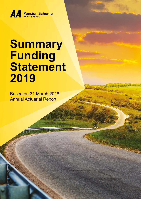

# **Summary Funding Statement 2019**

se province dist

Based on 31 March 2018 Annual Actuarial Report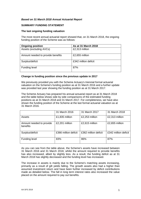# *Based on 31 March 2018 Annual Actuarial Report*

#### **SUMMARY FUNDING STATEMENT**

#### **The last ongoing funding valuation**

The most recent annual actuarial report showed that, on 31 March 2018, the ongoing funding position of the Scheme was as follows:

| <b>Ongoing position</b>           | As at 31 March 2018  |
|-----------------------------------|----------------------|
| Assets (excluding AVCs)           | £2,313 million       |
| Amount needed to provide benefits | £2,655 million       |
| Surplus/deficit                   | £342 million deficit |
| Funding level                     | 87%                  |

#### **Change in funding position since the previous update in 2017**

We previously provided you with the Scheme Actuary's triennial formal actuarial valuation on the Scheme's funding position as at 31 March 2016 and a further update was provided last year showing the funding position as at 31 March 2017.

The Scheme Actuary has prepared his annual actuarial report as at 31 March 2018 and the table below shows side by side comparisons of the estimated funding positions as at 31 March 2018 and 31 March 2017. For completeness, we have also shown the funding position of the Scheme at the last formal actuarial valuation as at 31 March 2016.

|                                      | 31 March 2016        | 31 March 2017        | 31 March 2018        |
|--------------------------------------|----------------------|----------------------|----------------------|
| Assets                               | £1,835 million       | £2,253 million       | £2,313 million       |
| Amount needed to provide<br>benefits | £2,201 million       | £2,615 million       | £2,655 million       |
| Surplus/deficit                      | £366 million deficit | £362 million deficit | £342 million deficit |
| Funding level                        | 83%                  | 86%                  | 87%                  |

As you can see from the table above, the Scheme's assets have increased between 31 March 2016 and 31 March 2018, whilst the amount required to provide benefits has also increased, albeit by slightly less. As a result, the funding deficit as at 31 March 2018 has slightly decreased and the funding level has increased.

The increase in assets is mainly due to the Scheme's matching assets increasing, primarily as a result of gilt yields falling. The growth assets also had a higher than assumed investment return and have been further increased by deficit contributions made as detailed below. The fall in long term interest rates also increased the value placed on the amount required to pay out benefits.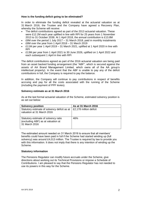# **How is the funding deficit going to be eliminated?**

In order to eliminate the funding deficit revealed at the actuarial valuation as at 31 March 2016, the Trustee and the Company have agreed a Recovery Plan, whereby the Scheme will receive:

- The deficit contributions agreed as part of the 2013 actuarial valuation. These were £12.2M each year uplifted in line with RPI for 25 years from 1 November 2013 to 31 October 2038. At 1 April 2018, the annual contribution is £13.8M
- £8M over the period 1 July 2017 31 March 2018, paid in monthly instalments
- £8M over the year from 1 April 2018 31 March 2019
- £11M per year 1 April 2019 31 March 2021, uplifted at 1 April 2020 in line with RPI
- £13M per year from 1 April 2021 to 30 June 2026, uplifted on 1 April 2022 and each subsequent 1 April in line with RPI

The deficit contributions agreed as part of the 2016 actuarial valuation are being paid from an asset backed funding arrangement (the "ABF", which is secured against the assets of AA Brand Management Limited, which owns all of the AA group's intellectual property). In the event that the ABF is unable to pay any of the deficit contributions in full, the Company is required to pay the balance.

In addition, the Company will continue to pay contributions in respect of benefits accruing and pay for all the costs associated with the running of the Scheme (including the payment of PPF levies).

## **Solvency estimate as at 31 March 2016**

As at the last formal actuarial valuation of the Scheme, estimated solvency position is as set out below:

| <b>Solvency position</b>                                                                    | As at 31 March 2016    |
|---------------------------------------------------------------------------------------------|------------------------|
| Statutory estimate of solvency deficit as at<br>valuation at 31 March 2016                  | £2,178 million deficit |
| Statutory estimate of solvency ratio<br>(excluding ABF) as at valuation at<br>31 March 2016 | 46%                    |

The estimated amount needed on 31 March 2016 to ensure that all members' benefits could have been paid in full if the Scheme had started winding up (full solvency) was around £4,013 million. The Trustee is required by law to provide you with this information. It does not imply that there is any intention of winding up the Scheme.

#### **Statutory information**

The Pensions Regulator can modify future accruals under the Scheme, give directions about working out its Technical Provisions or impose a Schedule of Contributions. I am pleased to say that the Pensions Regulator has not needed to use its powers in this way for the Scheme.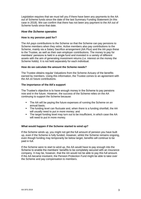Legislation requires that we must tell you if there have been any payments to the AA out of Scheme funds since the date of the last Summary Funding Statement (in this case in 2018). We can confirm that there has not been any payment to the AA out of Scheme funds since that date.

# *How the Scheme operates*

## **How is my pension paid for?**

The AA pays contributions to the Scheme so that the Scheme can pay pensions to Scheme members when they retire. Active members also pay contributions to the Scheme, mainly via a Salary Sacrifice arrangement (AA Plus) and the AA pays these to the Trustee, as well as their own employer contributions. The money to pay for members' pensions is held in a single fund and invested in a variety of different assets with the aim of generating investment returns (i.e. interest on the money the Scheme holds). It is not held separately for each individual.

#### **How do we calculate the amount the Scheme needs?**

The Trustee obtains regular Valuations from the Scheme Actuary of the benefits earned by members. Using this information, the Trustee comes to an agreement with the AA on future contributions.

## **The importance of the AA's support**

The Trustee's objective is to have enough money in the Scheme to pay pensions now and in the future. However, the success of the Scheme relies on the AA continuing to support the Scheme because:

- The AA will be paying the future expenses of running the Scheme on an annual basis;
- The funding level can fluctuate and, when there is a funding shortfall, the AA will usually need to put in more money; and
- The target funding level may turn out to be insufficient, in which case the AA will need to put in more money.

#### **What would happen if the Scheme started to wind up?**

If the Scheme winds up, you might not get the full amount of pension you have built up, even if the Scheme is fully funded. However, whilst the Scheme remains ongoing, even though funding may temporarily be below target, benefits will continue to be paid in full.

If the Scheme were to start to wind up, the AA would have to pay enough into the Scheme to enable the members' benefits to be completely secured with an insurance company. It may be, however, that the AA would not be able to pay this full amount. If the AA became insolvent, the Pension Protection Fund might be able to take over the Scheme and pay compensation to members.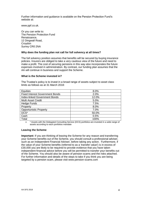Further information and guidance is available on the Pension Protection Fund's website at:

[www.ppf.co.uk.](http://www.pensionprotectionfund.org.uk/)

Or you can write to: The Pension Protection Fund Renaissance, 12 Dingwall Road, Croydon Surrey CR0 2NA

#### **Why does the funding plan not call for full solvency at all times?**

The full solvency position assumes that benefits will be secured by buying insurance policies. Insurers are obliged to take a very cautious view of the future and need to make a profit. The cost of securing pensions in this way also incorporates the future expenses involved in administration. By contrast, our funding plan assumes that the AA will continue in business and support the Scheme.

#### **What is the Scheme invested in?**

The Trustee's policy is to invest in a broad range of assets subject to asset class limits as follows as at 31 March 2018:

| Equities                               | 8.0%  |
|----------------------------------------|-------|
| <b>Fixed Interest Government Bonds</b> | 2.0%  |
| <b>Index-linked Government Bonds</b>   | 12.0% |
| <b>Multi Asset Credit</b>              | 5.0%  |
| <b>Hedge Funds</b>                     | 7.5%  |
| Property                               | 8.0%  |
| <b>Opportunistic Property</b>          | 7.0%  |
| DCS <sup>*</sup>                       | 50.0% |
| Cash                                   | 0.5%  |
| Total                                  | 100%  |

• \* Assets with the Delegated Consulting Service (DCS) portfolios are invested in a wide range of assets according to each portfolios mandate

#### **Leaving the Scheme**

**Important:** If you are thinking of leaving the Scheme for any reason and transferring your Scheme benefits out of the Scheme, you should consult a professional adviser, such as an Independent Financial Adviser, before taking any action. Furthermore, if the value of your Scheme benefits (referred to as a 'transfer value') is in excess of £30,000 you are likely to be required to provide evidence that you have taken independent financial advice before you will be permitted to transfer your benefits out of the Scheme. You should also be aware of pension scams and the risks attached. For further information and details of the steps to take if you think you are being targeted by a pension scam, please visit www.pension-scams.com